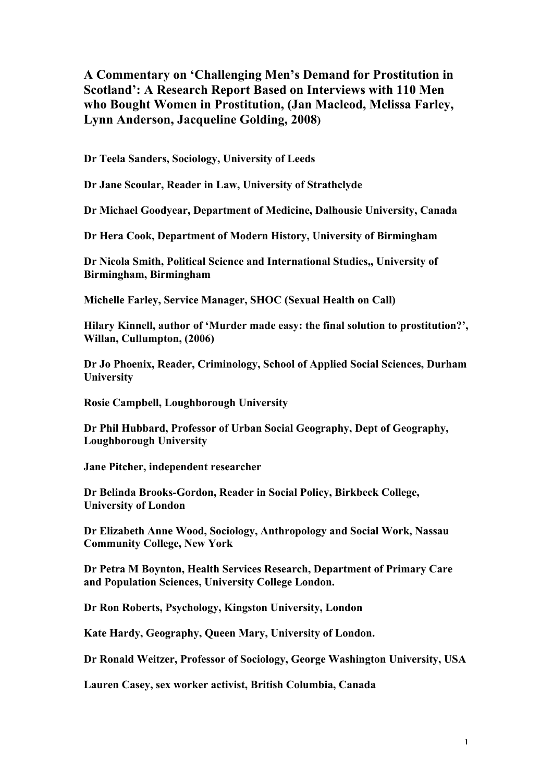**A Commentary on 'Challenging Men's Demand for Prostitution in Scotland': A Research Report Based on Interviews with 110 Men who Bought Women in Prostitution, (Jan Macleod, Melissa Farley, Lynn Anderson, Jacqueline Golding, 2008)**

**Dr Teela Sanders, Sociology, University of Leeds**

**Dr Jane Scoular, Reader in Law, University of Strathclyde**

**Dr Michael Goodyear, Department of Medicine, Dalhousie University, Canada**

**Dr Hera Cook, Department of Modern History, University of Birmingham**

**Dr Nicola Smith, Political Science and International Studies,, University of Birmingham, Birmingham**

**Michelle Farley, Service Manager, SHOC (Sexual Health on Call)**

**Hilary Kinnell, author of 'Murder made easy: the final solution to prostitution?', Willan, Cullumpton, (2006)**

**Dr Jo Phoenix, Reader, Criminology, School of Applied Social Sciences, Durham University**

**Rosie Campbell, Loughborough University**

**Dr Phil Hubbard, Professor of Urban Social Geography, Dept of Geography, Loughborough University**

**Jane Pitcher, independent researcher**

**Dr Belinda Brooks-Gordon, Reader in Social Policy, Birkbeck College, University of London**

**Dr Elizabeth Anne Wood, Sociology, Anthropology and Social Work, Nassau Community College, New York**

**Dr Petra M Boynton, Health Services Research, Department of Primary Care and Population Sciences, University College London.**

**Dr Ron Roberts, Psychology, Kingston University, London**

**Kate Hardy, Geography, Queen Mary, University of London.**

**Dr Ronald Weitzer, Professor of Sociology, George Washington University, USA**

**Lauren Casey, sex worker activist, British Columbia, Canada**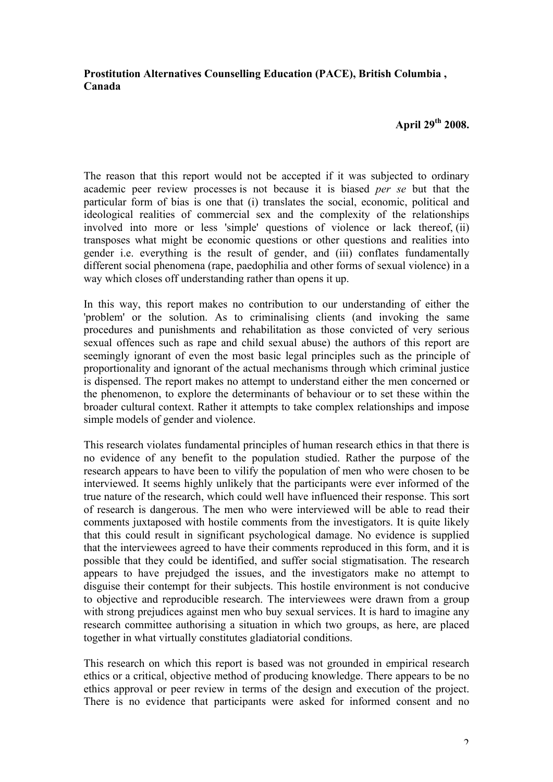## **Prostitution Alternatives Counselling Education (PACE), British Columbia , Canada**

## **April 29th 2008.**

The reason that this report would not be accepted if it was subjected to ordinary academic peer review processes is not because it is biased *per se* but that the particular form of bias is one that (i) translates the social, economic, political and ideological realities of commercial sex and the complexity of the relationships involved into more or less 'simple' questions of violence or lack thereof, (ii) transposes what might be economic questions or other questions and realities into gender i.e. everything is the result of gender, and (iii) conflates fundamentally different social phenomena (rape, paedophilia and other forms of sexual violence) in a way which closes off understanding rather than opens it up.

In this way, this report makes no contribution to our understanding of either the 'problem' or the solution. As to criminalising clients (and invoking the same procedures and punishments and rehabilitation as those convicted of very serious sexual offences such as rape and child sexual abuse) the authors of this report are seemingly ignorant of even the most basic legal principles such as the principle of proportionality and ignorant of the actual mechanisms through which criminal justice is dispensed. The report makes no attempt to understand either the men concerned or the phenomenon, to explore the determinants of behaviour or to set these within the broader cultural context. Rather it attempts to take complex relationships and impose simple models of gender and violence.

This research violates fundamental principles of human research ethics in that there is no evidence of any benefit to the population studied. Rather the purpose of the research appears to have been to vilify the population of men who were chosen to be interviewed. It seems highly unlikely that the participants were ever informed of the true nature of the research, which could well have influenced their response. This sort of research is dangerous. The men who were interviewed will be able to read their comments juxtaposed with hostile comments from the investigators. It is quite likely that this could result in significant psychological damage. No evidence is supplied that the interviewees agreed to have their comments reproduced in this form, and it is possible that they could be identified, and suffer social stigmatisation. The research appears to have prejudged the issues, and the investigators make no attempt to disguise their contempt for their subjects. This hostile environment is not conducive to objective and reproducible research. The interviewees were drawn from a group with strong prejudices against men who buy sexual services. It is hard to imagine any research committee authorising a situation in which two groups, as here, are placed together in what virtually constitutes gladiatorial conditions.

This research on which this report is based was not grounded in empirical research ethics or a critical, objective method of producing knowledge. There appears to be no ethics approval or peer review in terms of the design and execution of the project. There is no evidence that participants were asked for informed consent and no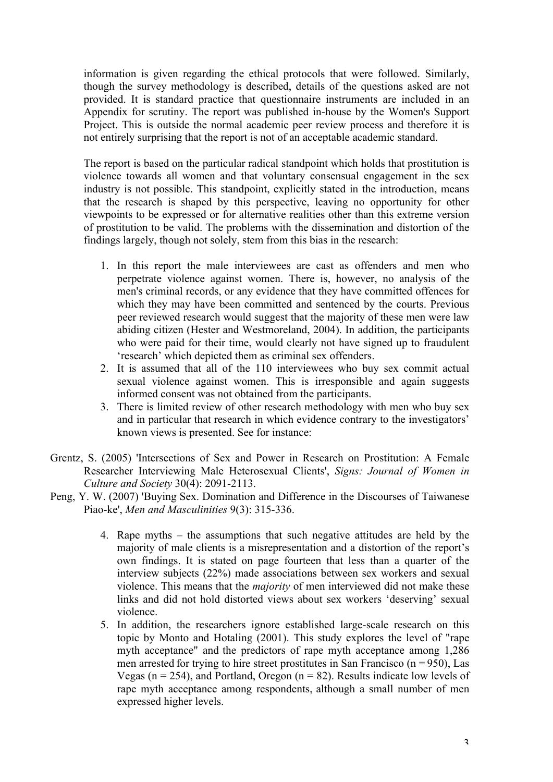information is given regarding the ethical protocols that were followed. Similarly, though the survey methodology is described, details of the questions asked are not provided. It is standard practice that questionnaire instruments are included in an Appendix for scrutiny. The report was published in-house by the Women's Support Project. This is outside the normal academic peer review process and therefore it is not entirely surprising that the report is not of an acceptable academic standard.

The report is based on the particular radical standpoint which holds that prostitution is violence towards all women and that voluntary consensual engagement in the sex industry is not possible. This standpoint, explicitly stated in the introduction, means that the research is shaped by this perspective, leaving no opportunity for other viewpoints to be expressed or for alternative realities other than this extreme version of prostitution to be valid. The problems with the dissemination and distortion of the findings largely, though not solely, stem from this bias in the research:

- 1. In this report the male interviewees are cast as offenders and men who perpetrate violence against women. There is, however, no analysis of the men's criminal records, or any evidence that they have committed offences for which they may have been committed and sentenced by the courts. Previous peer reviewed research would suggest that the majority of these men were law abiding citizen (Hester and Westmoreland, 2004). In addition, the participants who were paid for their time, would clearly not have signed up to fraudulent 'research' which depicted them as criminal sex offenders.
- 2. It is assumed that all of the 110 interviewees who buy sex commit actual sexual violence against women. This is irresponsible and again suggests informed consent was not obtained from the participants.
- 3. There is limited review of other research methodology with men who buy sex and in particular that research in which evidence contrary to the investigators' known views is presented. See for instance:
- Grentz, S. (2005) 'Intersections of Sex and Power in Research on Prostitution: A Female Researcher Interviewing Male Heterosexual Clients', *Signs: Journal of Women in Culture and Society* 30(4): 2091-2113.
- Peng, Y. W. (2007) 'Buying Sex. Domination and Difference in the Discourses of Taiwanese Piao-ke', *Men and Masculinities* 9(3): 315-336.
	- 4. Rape myths the assumptions that such negative attitudes are held by the majority of male clients is a misrepresentation and a distortion of the report's own findings. It is stated on page fourteen that less than a quarter of the interview subjects (22%) made associations between sex workers and sexual violence. This means that the *majority* of men interviewed did not make these links and did not hold distorted views about sex workers 'deserving' sexual violence.
	- 5. In addition, the researchers ignore established large-scale research on this topic by Monto and Hotaling (2001). This study explores the level of "rape myth acceptance" and the predictors of rape myth acceptance among 1,286 men arrested for trying to hire street prostitutes in San Francisco ( $n = 950$ ), Las Vegas ( $n = 254$ ), and Portland, Oregon ( $n = 82$ ). Results indicate low levels of rape myth acceptance among respondents, although a small number of men expressed higher levels.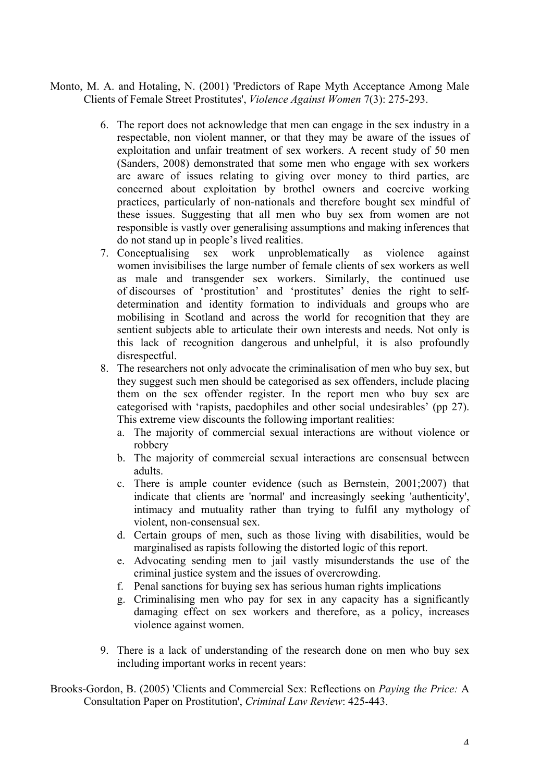- Monto, M. A. and Hotaling, N. (2001) 'Predictors of Rape Myth Acceptance Among Male Clients of Female Street Prostitutes', *Violence Against Women* 7(3): 275-293.
	- 6. The report does not acknowledge that men can engage in the sex industry in a respectable, non violent manner, or that they may be aware of the issues of exploitation and unfair treatment of sex workers. A recent study of 50 men (Sanders, 2008) demonstrated that some men who engage with sex workers are aware of issues relating to giving over money to third parties, are concerned about exploitation by brothel owners and coercive working practices, particularly of non-nationals and therefore bought sex mindful of these issues. Suggesting that all men who buy sex from women are not responsible is vastly over generalising assumptions and making inferences that do not stand up in people's lived realities.
	- 7. Conceptualising sex work unproblematically as violence against women invisibilises the large number of female clients of sex workers as well as male and transgender sex workers. Similarly, the continued use of discourses of 'prostitution' and 'prostitutes' denies the right to selfdetermination and identity formation to individuals and groups who are mobilising in Scotland and across the world for recognition that they are sentient subjects able to articulate their own interests and needs. Not only is this lack of recognition dangerous and unhelpful, it is also profoundly disrespectful.
	- 8. The researchers not only advocate the criminalisation of men who buy sex, but they suggest such men should be categorised as sex offenders, include placing them on the sex offender register. In the report men who buy sex are categorised with 'rapists, paedophiles and other social undesirables' (pp 27). This extreme view discounts the following important realities:
		- a. The majority of commercial sexual interactions are without violence or robbery
		- b. The majority of commercial sexual interactions are consensual between adults.
		- c. There is ample counter evidence (such as Bernstein, 2001;2007) that indicate that clients are 'normal' and increasingly seeking 'authenticity', intimacy and mutuality rather than trying to fulfil any mythology of violent, non-consensual sex.
		- d. Certain groups of men, such as those living with disabilities, would be marginalised as rapists following the distorted logic of this report.
		- e. Advocating sending men to jail vastly misunderstands the use of the criminal justice system and the issues of overcrowding.
		- f. Penal sanctions for buying sex has serious human rights implications
		- g. Criminalising men who pay for sex in any capacity has a significantly damaging effect on sex workers and therefore, as a policy, increases violence against women.
	- 9. There is a lack of understanding of the research done on men who buy sex including important works in recent years:

Brooks-Gordon, B. (2005) 'Clients and Commercial Sex: Reflections on *Paying the Price:* A Consultation Paper on Prostitution', *Criminal Law Review*: 425-443.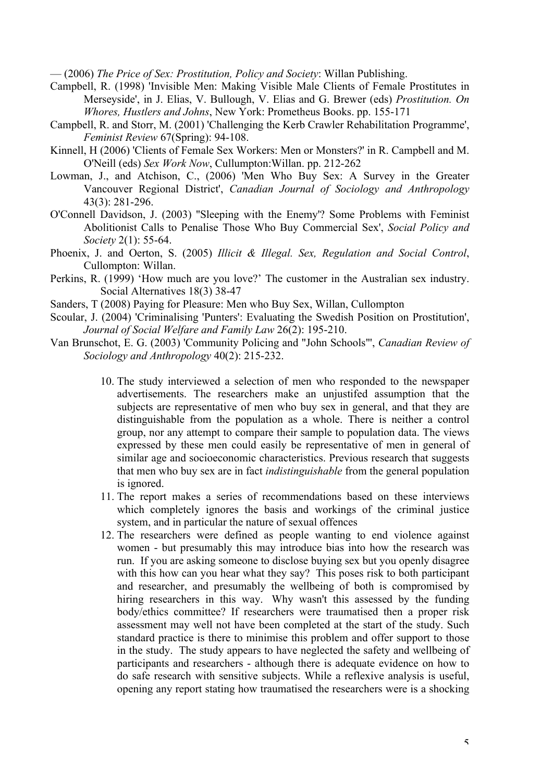— (2006) *The Price of Sex: Prostitution, Policy and Society*: Willan Publishing.

- Campbell, R. (1998) 'Invisible Men: Making Visible Male Clients of Female Prostitutes in Merseyside', in J. Elias, V. Bullough, V. Elias and G. Brewer (eds) *Prostitution. On Whores, Hustlers and Johns*, New York: Prometheus Books. pp. 155-171
- Campbell, R. and Storr, M. (2001) 'Challenging the Kerb Crawler Rehabilitation Programme', *Feminist Review* 67(Spring): 94-108.
- Kinnell, H (2006) 'Clients of Female Sex Workers: Men or Monsters?' in R. Campbell and M. O'Neill (eds) *Sex Work Now*, Cullumpton:Willan. pp. 212-262
- Lowman, J., and Atchison, C., (2006) 'Men Who Buy Sex: A Survey in the Greater Vancouver Regional District', *Canadian Journal of Sociology and Anthropology* 43(3): 281-296.
- O'Connell Davidson, J. (2003) ''Sleeping with the Enemy'? Some Problems with Feminist Abolitionist Calls to Penalise Those Who Buy Commercial Sex', *Social Policy and Society* 2(1): 55-64.
- Phoenix, J. and Oerton, S. (2005) *Illicit & Illegal. Sex, Regulation and Social Control*, Cullompton: Willan.
- Perkins, R. (1999) 'How much are you love?' The customer in the Australian sex industry. Social Alternatives 18(3) 38-47
- Sanders, T (2008) Paying for Pleasure: Men who Buy Sex, Willan, Cullompton
- Scoular, J. (2004) 'Criminalising 'Punters': Evaluating the Swedish Position on Prostitution', *Journal of Social Welfare and Family Law* 26(2): 195-210.
- Van Brunschot, E. G. (2003) 'Community Policing and "John Schools"', *Canadian Review of Sociology and Anthropology* 40(2): 215-232.
	- 10. The study interviewed a selection of men who responded to the newspaper advertisements. The researchers make an unjustifed assumption that the subjects are representative of men who buy sex in general, and that they are distinguishable from the population as a whole. There is neither a control group, nor any attempt to compare their sample to population data. The views expressed by these men could easily be representative of men in general of similar age and socioeconomic characteristics. Previous research that suggests that men who buy sex are in fact *indistinguishable* from the general population is ignored.
	- 11. The report makes a series of recommendations based on these interviews which completely ignores the basis and workings of the criminal justice system, and in particular the nature of sexual offences
	- 12. The researchers were defined as people wanting to end violence against women - but presumably this may introduce bias into how the research was run. If you are asking someone to disclose buying sex but you openly disagree with this how can you hear what they say? This poses risk to both participant and researcher, and presumably the wellbeing of both is compromised by hiring researchers in this way. Why wasn't this assessed by the funding body/ethics committee? If researchers were traumatised then a proper risk assessment may well not have been completed at the start of the study. Such standard practice is there to minimise this problem and offer support to those in the study. The study appears to have neglected the safety and wellbeing of participants and researchers - although there is adequate evidence on how to do safe research with sensitive subjects. While a reflexive analysis is useful, opening any report stating how traumatised the researchers were is a shocking